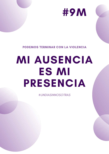# MI AUSENCIA

ES MI

### PRESENCIA

PODEMOS TERMINAR CON LA VIOLENCIA



#UNDIASINNOSOTRAS

#9M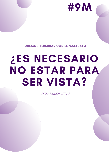# **¿ES NECESARIO** NO ESTAR PARA SER VISTA?

PODEMOS TERMINAR CON EL MALTRATO

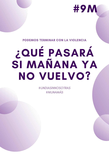

### **PODEMOS TERMINAR CON LA VIOLENCIA**

# ¿QUÉ PASARÁ SI MAÑANA YA NO VUELVO?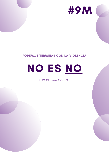

### PODEMOS TERMINAR CON LA VIOLENCIA



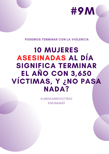### 10 MUJERES ASESINADAS AL DÍA SIGNIFICA TERMINAR EL AÑO CON 3,650 VÍCTIMAS, Y **¿**NO PASA NADA?

PODEMOS TERMINAR CON LA VIOLENCIA

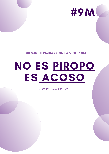# NO ES PIROPO ES ACOSO

PODEMOS TERMINAR CON LA VIOLENCIA

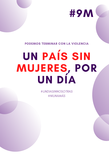# UN PAÍS SIN MUJERES, POR UN DÍA

#### PODEMOS TERMINAR CON LA VIOLENCIA

### #UNDIASINNOSOTRAS #NIUNAMÁS

### #9M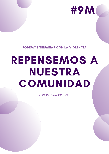# REPENSEMOS A NUESTRA COMUNIDAD

PODEMOS TERMINAR CON LA VIOLENCIA

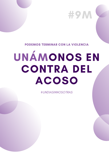### #9M

#### **PODEMOS TERMINAR CON LA VIOLENCIA**

# UNÁMONOS EN CONTRA DEL COSO

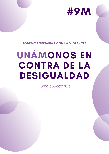# UNÁMONOS EN CONTRA DE LA DESIGUALDAD

### PODEMOS TERMINAR CON LA VIOLENCIA

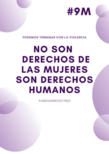### NO SON DERECHOS DE LAS MUJERES SON DERECHOS HUMANOS

PODEMOS TERMINAR CON LA VIOLENCIA

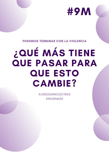## ¿QUÉ MÁS TIENE **QUE PASAR PARA** OUE ESTO CAMBIE?

**PODEMOS TERMINAR CON LA VIOLENCIA** 

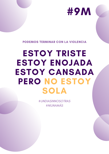### ESTOY TRISTE ESTOY ENOJADA ESTOY CANSADA PERO NO ESTOY SOLA

#### PODEMOS TERMINAR CON LA VIOLENCIA

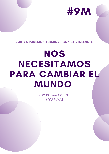### NOS NECESITAMOS PARA CAMBIAR EL MUNDO

#### JUNT@S PODEMOS TERMINAR CON LA VIOLENCIA